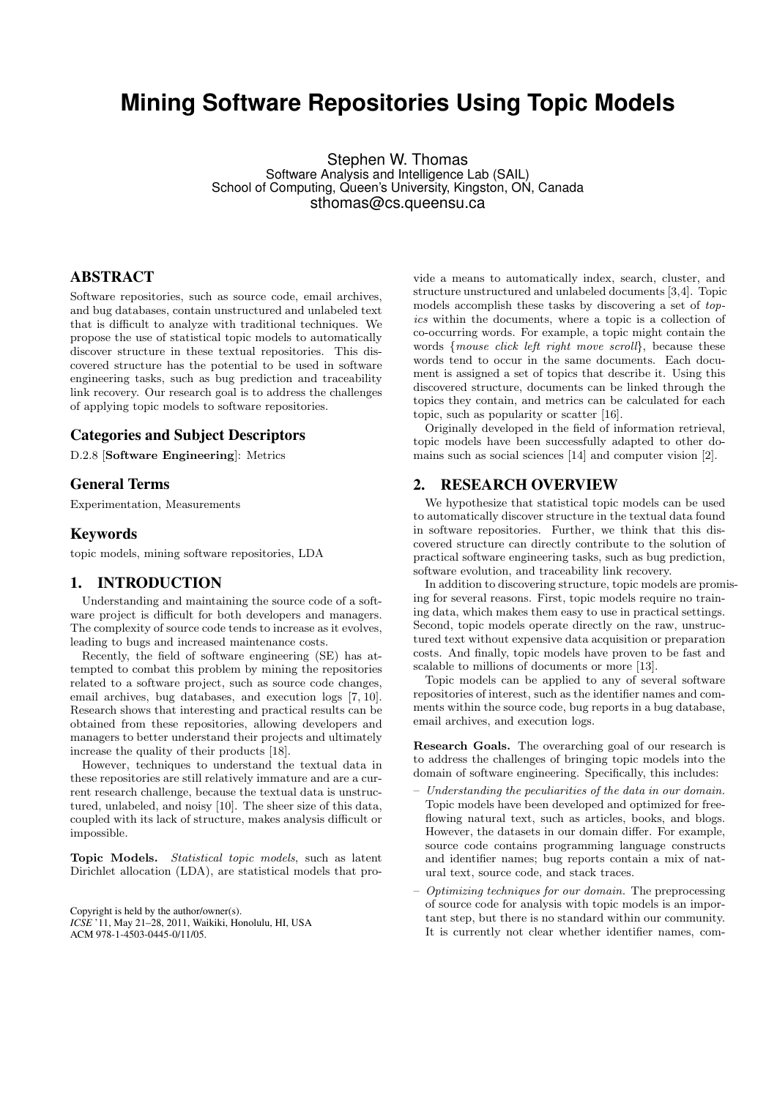# **Mining Software Repositories Using Topic Models**

Stephen W. Thomas Software Analysis and Intelligence Lab (SAIL) School of Computing, Queen's University, Kingston, ON, Canada sthomas@cs.queensu.ca

## ABSTRACT

Software repositories, such as source code, email archives, and bug databases, contain unstructured and unlabeled text that is difficult to analyze with traditional techniques. We propose the use of statistical topic models to automatically discover structure in these textual repositories. This discovered structure has the potential to be used in software engineering tasks, such as bug prediction and traceability link recovery. Our research goal is to address the challenges of applying topic models to software repositories.

## Categories and Subject Descriptors

D.2.8 [Software Engineering]: Metrics

#### General Terms

Experimentation, Measurements

#### Keywords

topic models, mining software repositories, LDA

## 1. INTRODUCTION

Understanding and maintaining the source code of a software project is difficult for both developers and managers. The complexity of source code tends to increase as it evolves, leading to bugs and increased maintenance costs.

Recently, the field of software engineering (SE) has attempted to combat this problem by mining the repositories related to a software project, such as source code changes, email archives, bug databases, and execution logs [7, 10]. Research shows that interesting and practical results can be obtained from these repositories, allowing developers and managers to better understand their projects and ultimately increase the quality of their products [18].

However, techniques to understand the textual data in these repositories are still relatively immature and are a current research challenge, because the textual data is unstructured, unlabeled, and noisy [10]. The sheer size of this data, coupled with its lack of structure, makes analysis difficult or impossible.

Topic Models. Statistical topic models, such as latent Dirichlet allocation (LDA), are statistical models that pro-

Copyright is held by the author/owner(s). *ICSE* '11, May 21–28, 2011, Waikiki, Honolulu, HI, USA ACM 978-1-4503-0445-0/11/05.

vide a means to automatically index, search, cluster, and structure unstructured and unlabeled documents [3,4]. Topic models accomplish these tasks by discovering a set of topics within the documents, where a topic is a collection of co-occurring words. For example, a topic might contain the words {mouse click left right move scroll}, because these words tend to occur in the same documents. Each document is assigned a set of topics that describe it. Using this discovered structure, documents can be linked through the topics they contain, and metrics can be calculated for each topic, such as popularity or scatter [16].

Originally developed in the field of information retrieval, topic models have been successfully adapted to other domains such as social sciences [14] and computer vision [2].

#### 2. RESEARCH OVERVIEW

We hypothesize that statistical topic models can be used to automatically discover structure in the textual data found in software repositories. Further, we think that this discovered structure can directly contribute to the solution of practical software engineering tasks, such as bug prediction, software evolution, and traceability link recovery.

In addition to discovering structure, topic models are promising for several reasons. First, topic models require no training data, which makes them easy to use in practical settings. Second, topic models operate directly on the raw, unstructured text without expensive data acquisition or preparation costs. And finally, topic models have proven to be fast and scalable to millions of documents or more [13].

Topic models can be applied to any of several software repositories of interest, such as the identifier names and comments within the source code, bug reports in a bug database, email archives, and execution logs.

Research Goals. The overarching goal of our research is to address the challenges of bringing topic models into the domain of software engineering. Specifically, this includes:

- Understanding the peculiarities of the data in our domain. Topic models have been developed and optimized for freeflowing natural text, such as articles, books, and blogs. However, the datasets in our domain differ. For example, source code contains programming language constructs and identifier names; bug reports contain a mix of natural text, source code, and stack traces.
- Optimizing techniques for our domain. The preprocessing of source code for analysis with topic models is an important step, but there is no standard within our community. It is currently not clear whether identifier names, com-